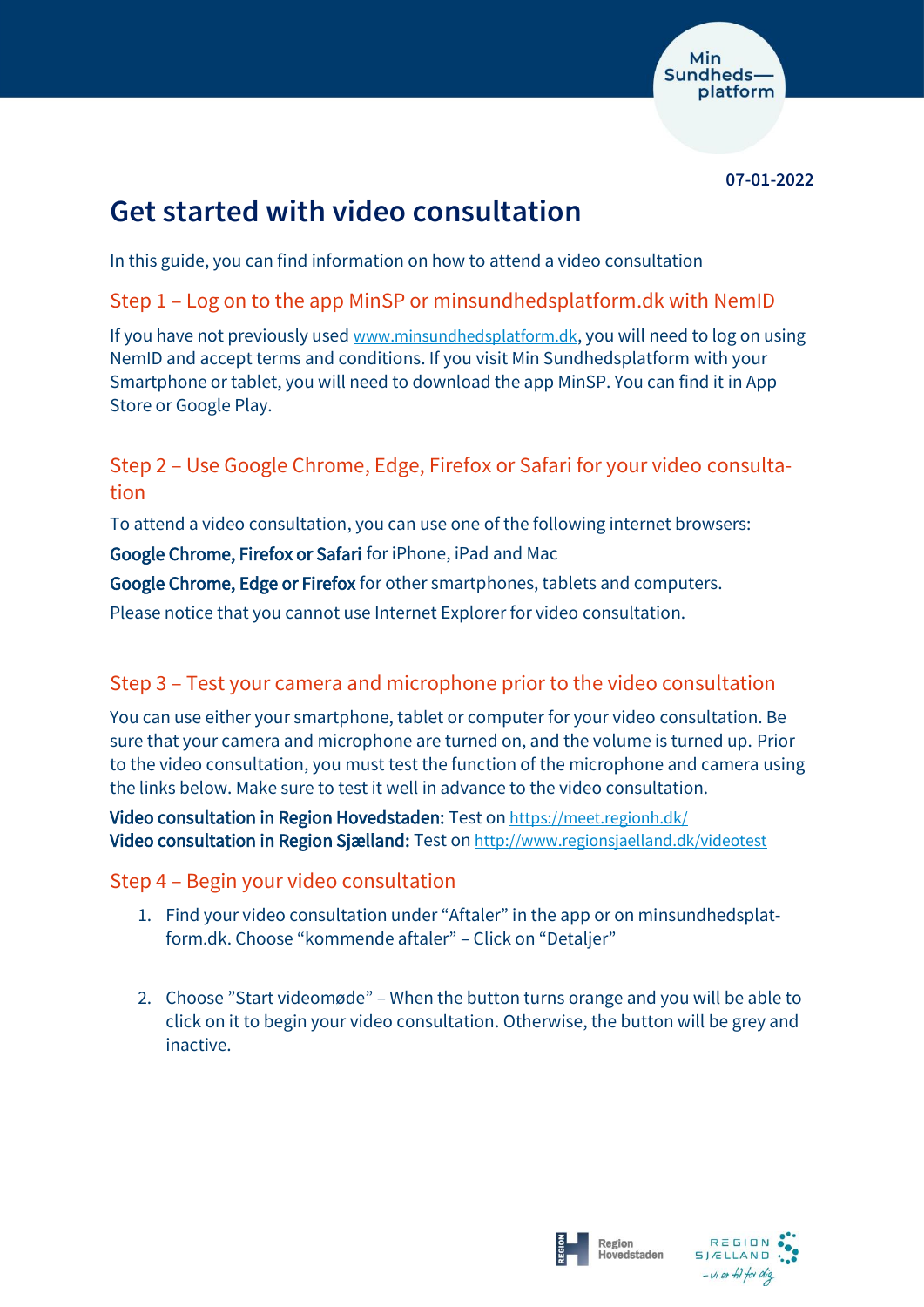

**07-01-2022**

# **Get started with video consultation**

In this guide, you can find information on how to attend a video consultation

Step 1 – Log on to the app MinSP or minsundhedsplatform.dk with NemID

If you have not previously used [www.minsundhedsplatform.dk](http://www.minsundhedsplatform.dk/), you will need to log on using NemID and accept terms and conditions. If you visit Min Sundhedsplatform with your Smartphone or tablet, you will need to download the app MinSP. You can find it in App Store or Google Play.

# Step 2 – Use Google Chrome, Edge, Firefox or Safari for your video consultation

To attend a video consultation, you can use one of the following internet browsers:

Google Chrome, Firefox or Safari for iPhone, iPad and Mac

Google Chrome, Edge or Firefox for other smartphones, tablets and computers.

Please notice that you cannot use Internet Explorer for video consultation.

# Step 3 – Test your camera and microphone prior to the video consultation

You can use either your smartphone, tablet or computer for your video consultation. Be sure that your camera and microphone are turned on, and the volume is turned up. Prior to the video consultation, you must test the function of the microphone and camera using the links below. Make sure to test it well in advance to the video consultation.

Video consultation in Region Hovedstaden: Test on <https://meet.regionh.dk/> Video consultation in Region Sjælland: Test on [http://www.regionsjaelland.dk/videotest](http://www.regionsjaelland.dk/videotest%20/)

## Step 4 – Begin your video consultation

- 1. Find your video consultation under "Aftaler" in the app or on minsundhedsplatform.dk. Choose "kommende aftaler" – Click on "Detaljer"
- 2. Choose "Start videomøde" When the button turns orange and you will be able to click on it to begin your video consultation. Otherwise, the button will be grey and inactive.



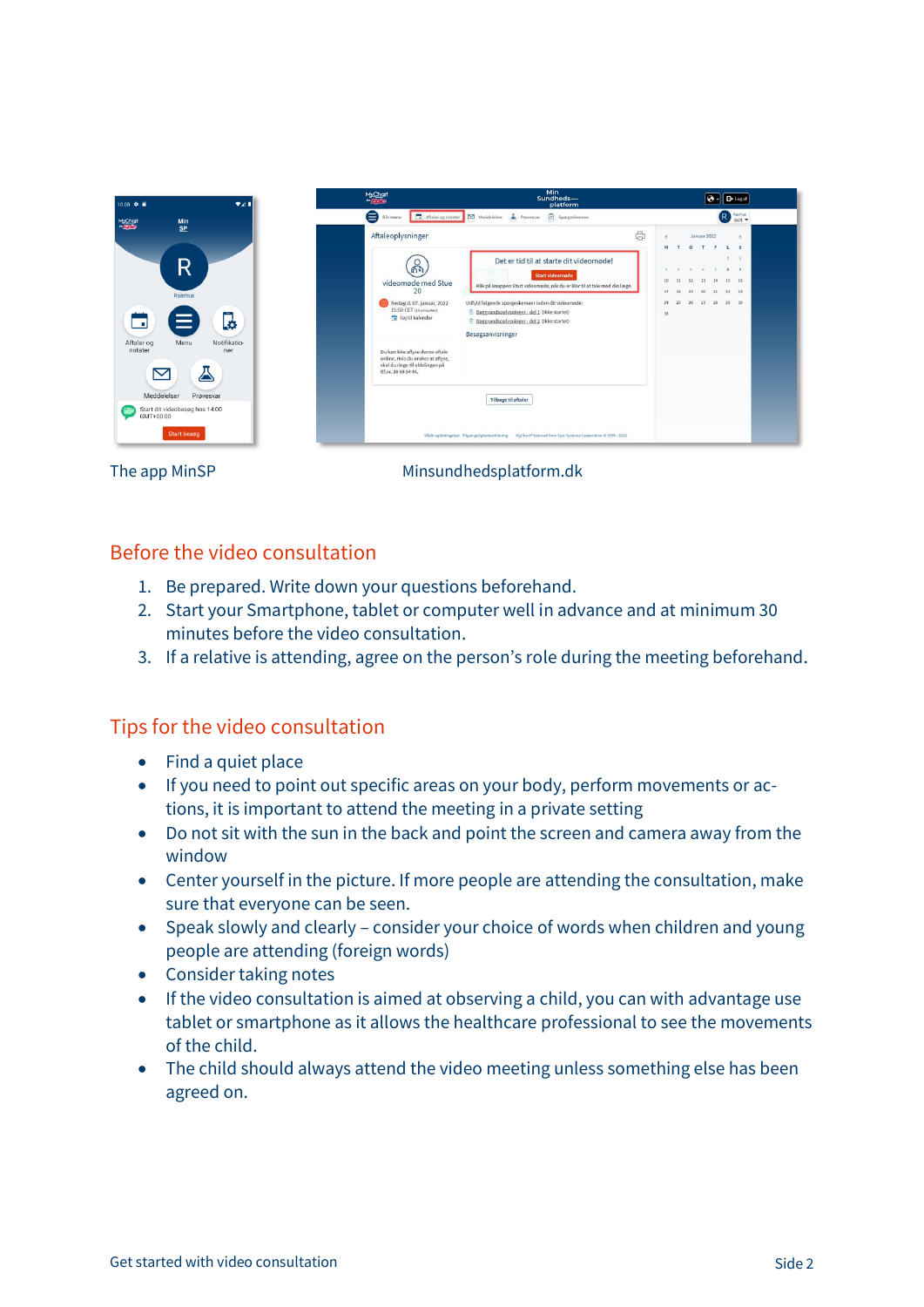

The app MinSP Minsundhedsplatform.dk

#### Before the video consultation

- 1. Be prepared. Write down your questions beforehand.
- 2. Start your Smartphone, tablet or computer well in advance and at minimum 30 minutes before the video consultation.
- 3. If a relative is attending, agree on the person's role during the meeting beforehand.

## Tips for the video consultation

- Find a quiet place
- If you need to point out specific areas on your body, perform movements or actions, it is important to attend the meeting in a private setting
- Do not sit with the sun in the back and point the screen and camera away from the window
- Center yourself in the picture. If more people are attending the consultation, make sure that everyone can be seen.
- Speak slowly and clearly consider your choice of words when children and young people are attending (foreign words)
- Consider taking notes
- If the video consultation is aimed at observing a child, you can with advantage use tablet or smartphone as it allows the healthcare professional to see the movements of the child.
- The child should always attend the video meeting unless something else has been agreed on.